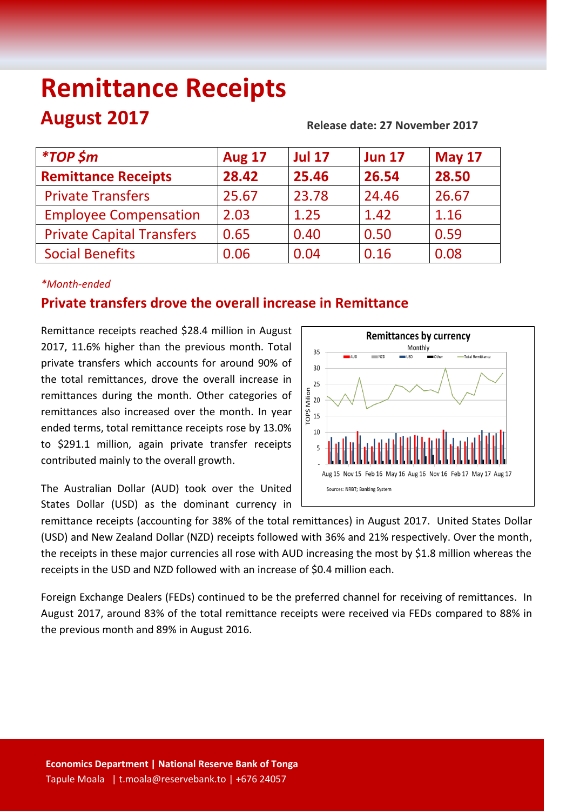# **Remittance Receipts August 2017 Release date: 27 November <sup>2017</sup>**

| <i><b>*TOP \$m</b></i>           | <b>Aug 17</b> | <b>Jul 17</b> | <b>Jun 17</b> | <b>May 17</b> |
|----------------------------------|---------------|---------------|---------------|---------------|
| <b>Remittance Receipts</b>       | 28.42         | 25.46         | 26.54         | 28.50         |
| <b>Private Transfers</b>         | 25.67         | 23.78         | 24.46         | 26.67         |
| <b>Employee Compensation</b>     | 2.03          | 1.25          | 1.42          | 1.16          |
| <b>Private Capital Transfers</b> | 0.65          | 0.40          | 0.50          | 0.59          |
| <b>Social Benefits</b>           | 0.06          | 0.04          | 0.16          | 0.08          |
|                                  |               |               |               |               |

#### *\*Month-ended*

## **Private transfers drove the overall increase in Remittance**

Remittance receipts reached \$28.4 million in August 2017, 11.6% higher than the previous month. Total private transfers which accounts for around 90% of the total remittances, drove the overall increase in remittances during the month. Other categories of remittances also increased over the month. In year ended terms, total remittance receipts rose by 13.0% to \$291.1 million, again private transfer receipts contributed mainly to the overall growth.

**Remittances by currency** Monthly 35  $\overline{\phantom{a}}$  ALLE  $\frac{1}{2}$ .<br>Total Remittanc  $30$ 25 TOP\$ Milion<br>DP\$ 15  $10$ 5 Aug 15, Nov 15, Feb 16, May 16, Aug 16, Nov 16, Feb 17, May 17, Aug 17 Sources: NRBT; Banking System

The Australian Dollar (AUD) took over the United States Dollar (USD) as the dominant currency in

remittance receipts (accounting for 38% of the total remittances) in August 2017. United States Dollar (USD) and New Zealand Dollar (NZD) receipts followed with 36% and 21% respectively. Over the month, the receipts in these major currencies all rose with AUD increasing the most by \$1.8 million whereas the receipts in the USD and NZD followed with an increase of \$0.4 million each.

Foreign Exchange Dealers (FEDs) continued to be the preferred channel for receiving of remittances. In August 2017, around 83% of the total remittance receipts were received via FEDs compared to 88% in the previous month and 89% in August 2016.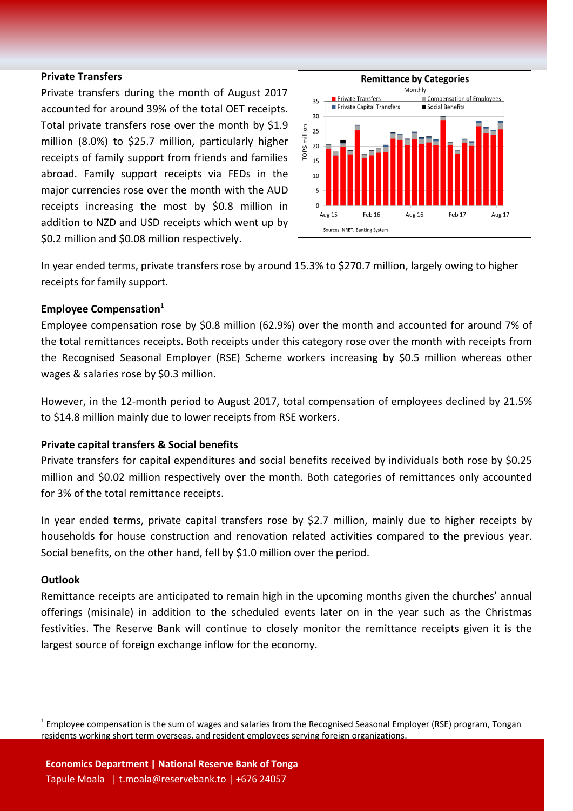#### **Private Transfers**

Private transfers during the month of August 2017 accounted for around 39% of the total OET receipts. Total private transfers rose over the month by \$1.9 million (8.0%) to \$25.7 million, particularly higher receipts of family support from friends and families abroad. Family support receipts via FEDs in the major currencies rose over the month with the AUD receipts increasing the most by \$0.8 million in addition to NZD and USD receipts which went up by \$0.2 million and \$0.08 million respectively.



In year ended terms, private transfers rose by around 15.3% to \$270.7 million, largely owing to higher receipts for family support.

#### **Employee Compensation<sup>1</sup>**

Employee compensation rose by \$0.8 million (62.9%) over the month and accounted for around 7% of the total remittances receipts. Both receipts under this category rose over the month with receipts from the Recognised Seasonal Employer (RSE) Scheme workers increasing by \$0.5 million whereas other wages & salaries rose by \$0.3 million.

However, in the 12-month period to August 2017, total compensation of employees declined by 21.5% to \$14.8 million mainly due to lower receipts from RSE workers.

#### **Private capital transfers & Social benefits**

Private transfers for capital expenditures and social benefits received by individuals both rose by \$0.25 million and \$0.02 million respectively over the month. Both categories of remittances only accounted for 3% of the total remittance receipts.

In year ended terms, private capital transfers rose by \$2.7 million, mainly due to higher receipts by households for house construction and renovation related activities compared to the previous year. Social benefits, on the other hand, fell by \$1.0 million over the period.

#### **Outlook**

 $\overline{a}$ 

Remittance receipts are anticipated to remain high in the upcoming months given the churches' annual offerings (misinale) in addition to the scheduled events later on in the year such as the Christmas festivities. The Reserve Bank will continue to closely monitor the remittance receipts given it is the largest source of foreign exchange inflow for the economy.

 $^1$  Employee compensation is the sum of wages and salaries from the Recognised Seasonal Employer (RSE) program, Tongan residents working short term overseas, and resident employees serving foreign organizations.